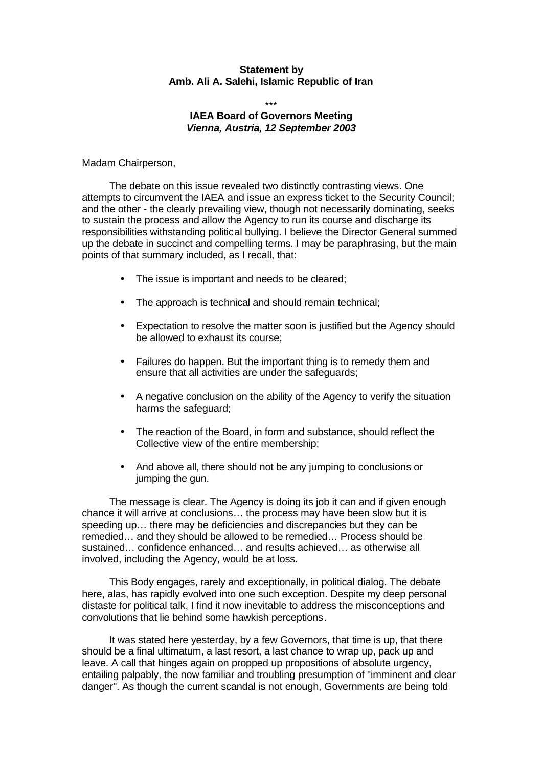## **Statement by Amb. Ali A. Salehi, Islamic Republic of Iran**

\*\*\*

## **IAEA Board of Governors Meeting** *Vienna, Austria, 12 September 2003*

Madam Chairperson,

The debate on this issue revealed two distinctly contrasting views. One attempts to circumvent the IAEA and issue an express ticket to the Security Council; and the other - the clearly prevailing view, though not necessarily dominating, seeks to sustain the process and allow the Agency to run its course and discharge its responsibilities withstanding political bullying. I believe the Director General summed up the debate in succinct and compelling terms. I may be paraphrasing, but the main points of that summary included, as I recall, that:

- The issue is important and needs to be cleared;
- The approach is technical and should remain technical;
- Expectation to resolve the matter soon is justified but the Agency should be allowed to exhaust its course;
- Failures do happen. But the important thing is to remedy them and ensure that all activities are under the safeguards;
- A negative conclusion on the ability of the Agency to verify the situation harms the safeguard;
- The reaction of the Board, in form and substance, should reflect the Collective view of the entire membership;
- And above all, there should not be any jumping to conclusions or jumping the gun.

The message is clear. The Agency is doing its job it can and if given enough chance it will arrive at conclusions… the process may have been slow but it is speeding up… there may be deficiencies and discrepancies but they can be remedied… and they should be allowed to be remedied… Process should be sustained… confidence enhanced… and results achieved… as otherwise all involved, including the Agency, would be at loss.

This Body engages, rarely and exceptionally, in political dialog. The debate here, alas, has rapidly evolved into one such exception. Despite my deep personal distaste for political talk, I find it now inevitable to address the misconceptions and convolutions that lie behind some hawkish perceptions.

It was stated here yesterday, by a few Governors, that time is up, that there should be a final ultimatum, a last resort, a last chance to wrap up, pack up and leave. A call that hinges again on propped up propositions of absolute urgency, entailing palpably, the now familiar and troubling presumption of "imminent and clear danger". As though the current scandal is not enough, Governments are being told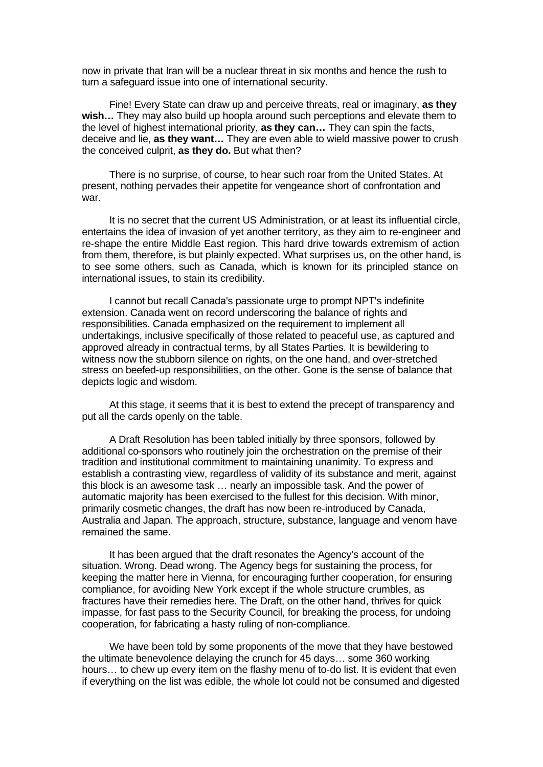now in private that Iran will be a nuclear threat in six months and hence the rush to turn a safeguard issue into one of international security.

Fine! Every State can draw up and perceive threats, real or imaginary, **as they wish…** They may also build up hoopla around such perceptions and elevate them to the level of highest international priority, **as they can…** They can spin the facts, deceive and lie, **as they want…** They are even able to wield massive power to crush the conceived culprit, **as they do.** But what then?

There is no surprise, of course, to hear such roar from the United States. At present, nothing pervades their appetite for vengeance short of confrontation and war.

It is no secret that the current US Administration, or at least its influential circle, entertains the idea of invasion of yet another territory, as they aim to re-engineer and re-shape the entire Middle East region. This hard drive towards extremism of action from them, therefore, is but plainly expected. What surprises us, on the other hand, is to see some others, such as Canada, which is known for its principled stance on international issues, to stain its credibility.

I cannot but recall Canada's passionate urge to prompt NPT's indefinite extension. Canada went on record underscoring the balance of rights and responsibilities. Canada emphasized on the requirement to implement all undertakings, inclusive specifically of those related to peaceful use, as captured and approved already in contractual terms, by all States Parties. It is bewildering to witness now the stubborn silence on rights, on the one hand, and over-stretched stress on beefed-up responsibilities, on the other. Gone is the sense of balance that depicts logic and wisdom.

At this stage, it seems that it is best to extend the precept of transparency and put all the cards openly on the table.

A Draft Resolution has been tabled initially by three sponsors, followed by additional co-sponsors who routinely join the orchestration on the premise of their tradition and institutional commitment to maintaining unanimity. To express and establish a contrasting view, regardless of validity of its substance and merit, against this block is an awesome task … nearly an impossible task. And the power of automatic majority has been exercised to the fullest for this decision. With minor, primarily cosmetic changes, the draft has now been re-introduced by Canada, Australia and Japan. The approach, structure, substance, language and venom have remained the same.

It has been argued that the draft resonates the Agency's account of the situation. Wrong. Dead wrong. The Agency begs for sustaining the process, for keeping the matter here in Vienna, for encouraging further cooperation, for ensuring compliance, for avoiding New York except if the whole structure crumbles, as fractures have their remedies here. The Draft, on the other hand, thrives for quick impasse, for fast pass to the Security Council, for breaking the process, for undoing cooperation, for fabricating a hasty ruling of non-compliance.

We have been told by some proponents of the move that they have bestowed the ultimate benevolence delaying the crunch for 45 days… some 360 working hours… to chew up every item on the flashy menu of to-do list. It is evident that even if everything on the list was edible, the whole lot could not be consumed and digested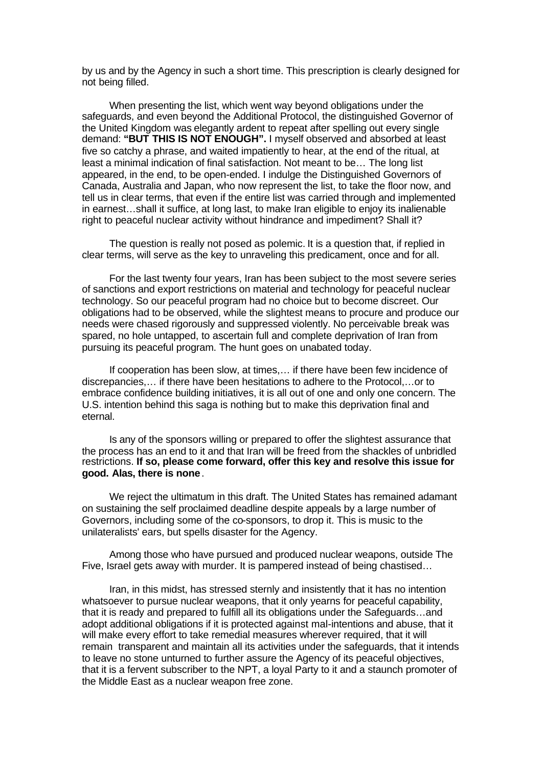by us and by the Agency in such a short time. This prescription is clearly designed for not being filled.

When presenting the list, which went way beyond obligations under the safeguards, and even beyond the Additional Protocol, the distinguished Governor of the United Kingdom was elegantly ardent to repeat after spelling out every single demand: **"BUT THIS IS NOT ENOUGH".** I myself observed and absorbed at least five so catchy a phrase, and waited impatiently to hear, at the end of the ritual, at least a minimal indication of final satisfaction. Not meant to be… The long list appeared, in the end, to be open-ended. I indulge the Distinguished Governors of Canada, Australia and Japan, who now represent the list, to take the floor now, and tell us in clear terms, that even if the entire list was carried through and implemented in earnest…shall it suffice, at long last, to make Iran eligible to enjoy its inalienable right to peaceful nuclear activity without hindrance and impediment? Shall it?

The question is really not posed as polemic. It is a question that, if replied in clear terms, will serve as the key to unraveling this predicament, once and for all.

For the last twenty four years, Iran has been subject to the most severe series of sanctions and export restrictions on material and technology for peaceful nuclear technology. So our peaceful program had no choice but to become discreet. Our obligations had to be observed, while the slightest means to procure and produce our needs were chased rigorously and suppressed violently. No perceivable break was spared, no hole untapped, to ascertain full and complete deprivation of Iran from pursuing its peaceful program. The hunt goes on unabated today.

If cooperation has been slow, at times,… if there have been few incidence of discrepancies,… if there have been hesitations to adhere to the Protocol,…or to embrace confidence building initiatives, it is all out of one and only one concern. The U.S. intention behind this saga is nothing but to make this deprivation final and eternal.

Is any of the sponsors willing or prepared to offer the slightest assurance that the process has an end to it and that Iran will be freed from the shackles of unbridled restrictions. **If so, please come forward, offer this key and resolve this issue for good. Alas, there is none**.

We reject the ultimatum in this draft. The United States has remained adamant on sustaining the self proclaimed deadline despite appeals by a large number of Governors, including some of the co-sponsors, to drop it. This is music to the unilateralists' ears, but spells disaster for the Agency.

Among those who have pursued and produced nuclear weapons, outside The Five, Israel gets away with murder. It is pampered instead of being chastised…

Iran, in this midst, has stressed sternly and insistently that it has no intention whatsoever to pursue nuclear weapons, that it only yearns for peaceful capability, that it is ready and prepared to fulfill all its obligations under the Safeguards…and adopt additional obligations if it is protected against mal-intentions and abuse, that it will make every effort to take remedial measures wherever required, that it will remain transparent and maintain all its activities under the safeguards, that it intends to leave no stone unturned to further assure the Agency of its peaceful objectives, that it is a fervent subscriber to the NPT, a loyal Party to it and a staunch promoter of the Middle East as a nuclear weapon free zone.